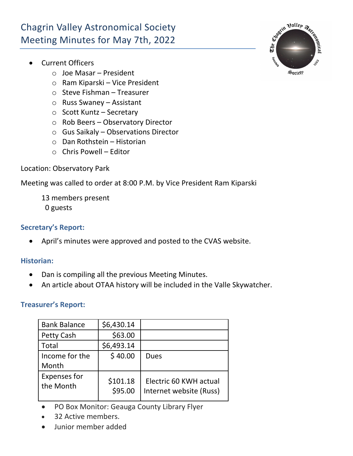# Chagrin Valley Astronomical Society Meeting Minutes for May 7th, 2022

- Current Officers
	- o Joe Masar President
	- o Ram Kiparski Vice President
	- o Steve Fishman Treasurer
	- o Russ Swaney Assistant
	- o Scott Kuntz Secretary
	- o Rob Beers Observatory Director
	- o Gus Saikaly Observations Director
	- o Dan Rothstein Historian
	- $\circ$  Chris Powell Editor

## Location: Observatory Park

Meeting was called to order at 8:00 P.M. by Vice President Ram Kiparski

- 13 members present
- 0 guests

## **Secretary's Report:**

• April's minutes were approved and posted to the CVAS website.

#### **Historian:**

- Dan is compiling all the previous Meeting Minutes.
- An article about OTAA history will be included in the Valle Skywatcher.

# **Treasurer's Report:**

| <b>Bank Balance</b>              | \$6,430.14          |                                                   |
|----------------------------------|---------------------|---------------------------------------------------|
| <b>Petty Cash</b>                | \$63.00             |                                                   |
| Total                            | \$6,493.14          |                                                   |
| Income for the<br>Month          | \$40.00             | Dues                                              |
| <b>Expenses for</b><br>the Month | \$101.18<br>\$95.00 | Electric 60 KWH actual<br>Internet website (Russ) |

- PO Box Monitor: Geauga County Library Flyer
- 32 Active members.
- Junior member added

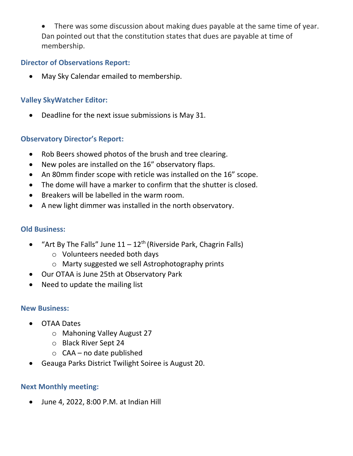There was some discussion about making dues payable at the same time of year. Dan pointed out that the constitution states that dues are payable at time of membership.

#### **Director of Observations Report:**

• May Sky Calendar emailed to membership.

# **Valley SkyWatcher Editor:**

• Deadline for the next issue submissions is May 31.

## **Observatory Director's Report:**

- Rob Beers showed photos of the brush and tree clearing.
- New poles are installed on the 16" observatory flaps.
- An 80mm finder scope with reticle was installed on the 16" scope.
- The dome will have a marker to confirm that the shutter is closed.
- Breakers will be labelled in the warm room.
- A new light dimmer was installed in the north observatory.

## **Old Business:**

- "Art By The Falls" June  $11 12$ <sup>th</sup> (Riverside Park, Chagrin Falls)
	- o Volunteers needed both days
	- o Marty suggested we sell Astrophotography prints
- Our OTAA is June 25th at Observatory Park
- Need to update the mailing list

#### **New Business:**

- OTAA Dates
	- o Mahoning Valley August 27
	- o Black River Sept 24
	- o CAA no date published
- Geauga Parks District Twilight Soiree is August 20.

#### **Next Monthly meeting:**

• June 4, 2022, 8:00 P.M. at Indian Hill